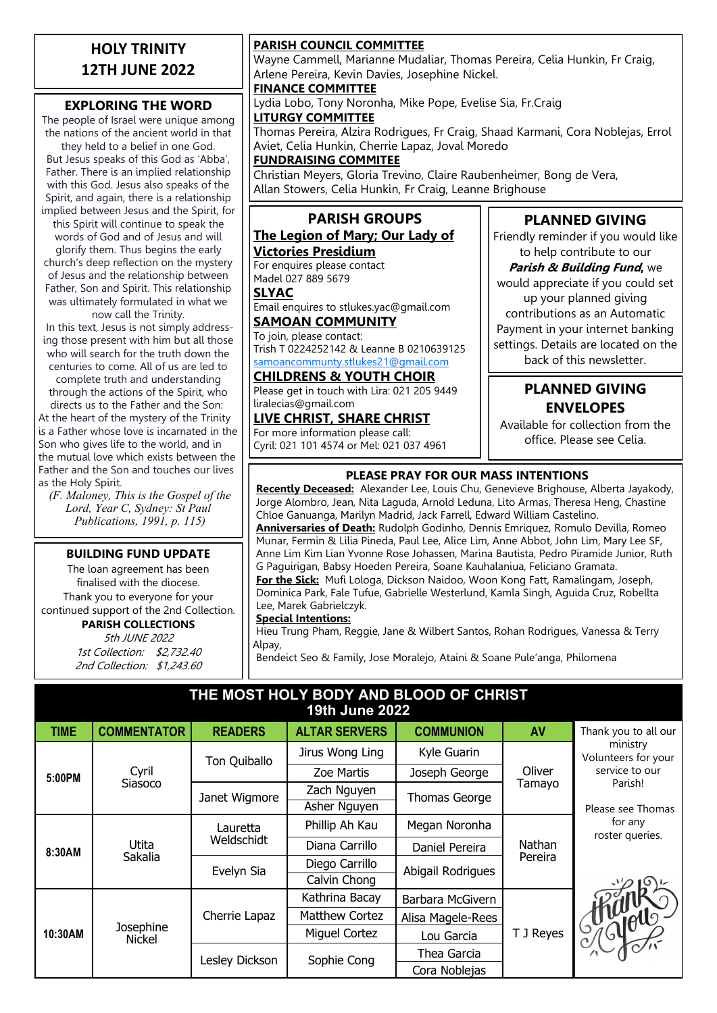### **HOLY TRINITY 12TH JUNE 2022**

### **EXPLORING THE WORD**

The people of Israel were unique among the nations of the ancient world in that

they held to a belief in one God. But Jesus speaks of this God as 'Abba', Father. There is an implied relationship with this God. Jesus also speaks of the Spirit, and again, there is a relationship implied between Jesus and the Spirit, for

this Spirit will continue to speak the words of God and of Jesus and will glorify them. Thus begins the early church's deep reflection on the mystery of Jesus and the relationship between Father, Son and Spirit. This relationship was ultimately formulated in what we now call the Trinity.

In this text, Jesus is not simply addressing those present with him but all those who will search for the truth down the centuries to come. All of us are led to complete truth and understanding through the actions of the Spirit, who

directs us to the Father and the Son: At the heart of the mystery of the Trinity is a Father whose love is incarnated in the Son who gives life to the world, and in the mutual love which exists between the Father and the Son and touches our lives as the Holy Spirit.

*(F. Maloney, This is the Gospel of the Lord, Year C, Sydney: St Paul Publications, 1991, p. 115)*

#### **BUILDING FUND UPDATE**

The loan agreement has been finalised with the diocese. Thank you to everyone for your continued support of the 2nd Collection.

#### **PARISH COLLECTIONS**

5th JUNE 2022 1st Collection: \$2,732.40 2nd Collection: \$1,243.60

#### **PARISH COUNCIL COMMITTEE**

Wayne Cammell, Marianne Mudaliar, Thomas Pereira, Celia Hunkin, Fr Craig, Arlene Pereira, Kevin Davies, Josephine Nickel.

#### **FINANCE COMMITTEE**

Lydia Lobo, Tony Noronha, Mike Pope, Evelise Sia, Fr.Craig **LITURGY COMMITTEE**

Thomas Pereira, Alzira Rodrigues, Fr Craig, Shaad Karmani, Cora Noblejas, Errol Aviet, Celia Hunkin, Cherrie Lapaz, Joval Moredo

#### **FUNDRAISING COMMITEE**

Christian Meyers, Gloria Trevino, Claire Raubenheimer, Bong de Vera, Allan Stowers, Celia Hunkin, Fr Craig, Leanne Brighouse

### **PARISH GROUPS**

#### **The Legion of Mary; Our Lady of Victories Presidium**

For enquires please contact Madel 027 889 5679

#### **SLYAC**

Email enquires to stlukes.yac@gmail.com **SAMOAN COMMUNITY**

### To join, please contact:

Trish T 0224252142 & Leanne B 0210639125 [samoancommunty.stlukes21@gmail.com](mailto:samoancommunity.stlukes21@gmail.com)

#### **CHILDRENS & YOUTH CHOIR**

Please get in touch with Lira: 021 205 9449 liralecias@gmail.com

#### **LIVE CHRIST, SHARE CHRIST** For more information please call:

Cyril: 021 101 4574 or Mel: 021 037 4961

### **PLANNED GIVING**

Friendly reminder if you would like to help contribute to our

**Parish & Building Fund,** we would appreciate if you could set up your planned giving contributions as an Automatic Payment in your internet banking settings. Details are located on the back of this newsletter.

### **PLANNED GIVING ENVELOPES**

Available for collection from the office. Please see Celia.

#### **PLEASE PRAY FOR OUR MASS INTENTIONS**

**Recently Deceased:** Alexander Lee, Louis Chu, Genevieve Brighouse, Alberta Jayakody, Jorge Alombro, Jean, Nita Laguda, Arnold Leduna, Lito Armas, Theresa Heng, Chastine Chloe Ganuanga, Marilyn Madrid, Jack Farrell, Edward William Castelino. **Anniversaries of Death:** Rudolph Godinho, Dennis Emriquez, Romulo Devilla, Romeo Munar, Fermin & Lilia Pineda, Paul Lee, Alice Lim, Anne Abbot, John Lim, Mary Lee SF, Anne Lim Kim Lian Yvonne Rose Johassen, Marina Bautista, Pedro Piramide Junior, Ruth G Paguirigan, Babsy Hoeden Pereira, Soane Kauhalaniua, Feliciano Gramata. **For the Sick:** Mufi Lologa, Dickson Naidoo, Woon Kong Fatt, Ramalingam, Joseph, Dominica Park, Fale Tufue, Gabrielle Westerlund, Kamla Singh, Aguida Cruz, Robellta Lee, Marek Gabrielczyk.

#### **Special Intentions:**

Hieu Trung Pham, Reggie, Jane & Wilbert Santos, Rohan Rodrigues, Vanessa & Terry Alpay,

Bendeict Seo & Family, Jose Moralejo, Ataini & Soane Pule'anga, Philomena

#### **THE MOST HOLY BODY AND BLOOD OF CHRIST 19th June 2022**

| <b>TIME</b> | <b>COMMENTATOR</b>         | <b>READERS</b>         | <b>ALTAR SERVERS</b>  | <b>COMMUNION</b>  | AV                | Thank you to all our            |
|-------------|----------------------------|------------------------|-----------------------|-------------------|-------------------|---------------------------------|
| 5:00PM      | Cyril<br>Siasoco           | Ton Quiballo           | Jirus Wong Ling       | Kyle Guarin       | Oliver<br>Tamayo  | ministry<br>Volunteers for your |
|             |                            |                        | Zoe Martis            | Joseph George     |                   | service to our                  |
|             |                            | Janet Wigmore          | Zach Nguyen           | Thomas George     |                   | Parish!                         |
|             |                            |                        | Asher Nguyen          |                   |                   | Please see Thomas               |
| 8:30AM      | Utita<br>Sakalia           | Lauretta<br>Weldschidt | Phillip Ah Kau        | Megan Noronha     | Nathan<br>Pereira | for any<br>roster queries.      |
|             |                            |                        | Diana Carrillo        | Daniel Pereira    |                   |                                 |
|             |                            | Evelyn Sia             | Diego Carrillo        | Abigail Rodrigues |                   |                                 |
|             |                            |                        | Calvin Chong          |                   |                   |                                 |
| 10:30AM     | Josephine<br><b>Nickel</b> | Cherrie Lapaz          | Kathrina Bacay        | Barbara McGivern  | T J Reyes         |                                 |
|             |                            |                        | <b>Matthew Cortez</b> | Alisa Magele-Rees |                   |                                 |
|             |                            |                        | Miguel Cortez         | Lou Garcia        |                   | I Synology                      |
|             |                            | Lesley Dickson         | Sophie Cong           | Thea Garcia       |                   |                                 |
|             |                            |                        |                       | Cora Noblejas     |                   |                                 |